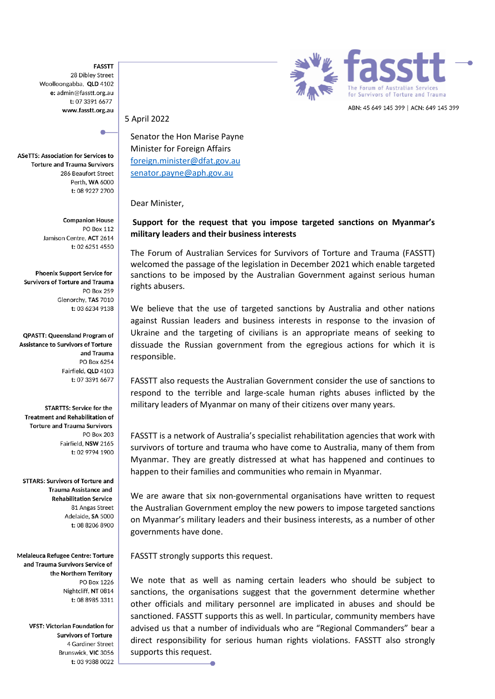**FASSTT** 28 Dibley Street Woolloongabba, QLD 4102 e: admin@fasstt.org.au t: 07 3391 6677 www.fasstt.org.au

**ASeTTS: Association for Services to Torture and Trauma Survivors** 286 Beaufort Street Perth, WA 6000 t: 08 9227 2700

> **Companion House PO Box 112** Jamison Centre, ACT 2614 t: 02 6251 4550

**Phoenix Support Service for Survivors of Torture and Trauma PO Box 259** Glenorchy, TAS 7010 t: 03 6234 9138

**QPASTT: Queensland Program of Assistance to Survivors of Torture** and Trauma PO Box 6254 Fairfield, QLD 4103 t: 07 3391 6677

**STARTTS: Service for the Treatment and Rehabilitation of Torture and Trauma Survivors PO Box 203** Fairfield, NSW 2165 t: 02 9794 1900

**STTARS: Survivors of Torture and Trauma Assistance and Rehabilitation Service** 81 Angas Street Adelaide. SA 5000 t: 08 8206 8900

Melaleuca Refugee Centre: Torture and Trauma Survivors Service of the Northern Territory PO Box 1226 Nightcliff, NT 0814 t: 08 8985 3311

> VFST: Victorian Foundation for **Survivors of Torture** 4 Gardiner Street Brunswick, VIC 3056 t: 03 9388 0022



5 April 2022

Senator the Hon Marise Payne Minister for Foreign Affairs [foreign.minister@dfat.gov.au](mailto:foreign.minister@dfat.gov.au) [senator.payne@aph.gov.au](mailto:senator.payne@aph.gov.au)

Dear Minister,

## **Support for the request that you impose targeted sanctions on Myanmar's military leaders and their business interests**

The Forum of Australian Services for Survivors of Torture and Trauma (FASSTT) welcomed the passage of the legislation in December 2021 which enable targeted sanctions to be imposed by the Australian Government against serious human rights abusers.

We believe that the use of targeted sanctions by Australia and other nations against Russian leaders and business interests in response to the invasion of Ukraine and the targeting of civilians is an appropriate means of seeking to dissuade the Russian government from the egregious actions for which it is responsible.

FASSTT also requests the Australian Government consider the use of sanctions to respond to the terrible and large-scale human rights abuses inflicted by the military leaders of Myanmar on many of their citizens over many years.

FASSTT is a network of Australia's specialist rehabilitation agencies that work with survivors of torture and trauma who have come to Australia, many of them from Myanmar. They are greatly distressed at what has happened and continues to happen to their families and communities who remain in Myanmar.

We are aware that six non-governmental organisations have written to request the Australian Government employ the new powers to impose targeted sanctions on Myanmar's military leaders and their business interests, as a number of other governments have done.

FASSTT strongly supports this request.

We note that as well as naming certain leaders who should be subject to sanctions, the organisations suggest that the government determine whether other officials and military personnel are implicated in abuses and should be sanctioned. FASSTT supports this as well. In particular, community members have advised us that a number of individuals who are "Regional Commanders" bear a direct responsibility for serious human rights violations. FASSTT also strongly supports this request.